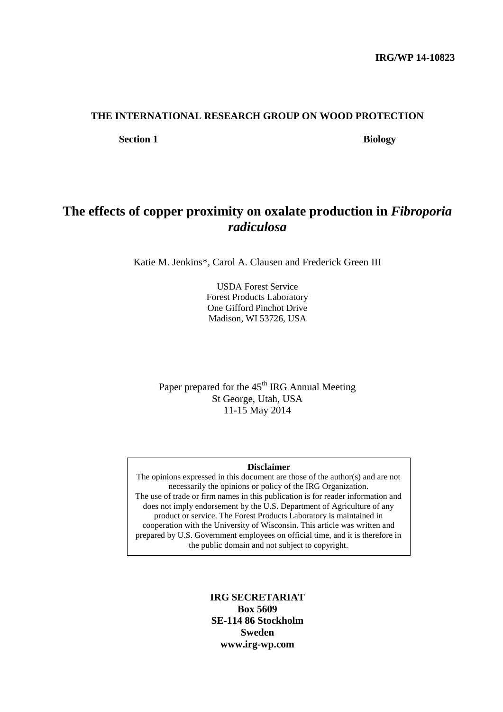### **THE INTERNATIONAL RESEARCH GROUP ON WOOD PROTECTION**

**Section 1** Biology

# **The effects of copper proximity on oxalate production in** *Fibroporia radiculosa*

Katie M. Jenkins\*, Carol A. Clausen and Frederick Green III

USDA Forest Service Forest Products Laboratory One Gifford Pinchot Drive Madison, WI 53726, USA

Paper prepared for the 45<sup>th</sup> IRG Annual Meeting St George, Utah, USA 11-15 May 2014

#### **Disclaimer**

The opinions expressed in this document are those of the author(s) and are not necessarily the opinions or policy of the IRG Organization. The use of trade or firm names in this publication is for reader information and does not imply endorsement by the U.S. Department of Agriculture of any product or service. The Forest Products Laboratory is maintained in cooperation with the University of Wisconsin. This article was written and prepared by U.S. Government employees on official time, and it is therefore in the public domain and not subject to copyright.

> **IRG SECRETARIAT Box 5609 SE-114 86 Stockholm Sweden www.irg-wp.com**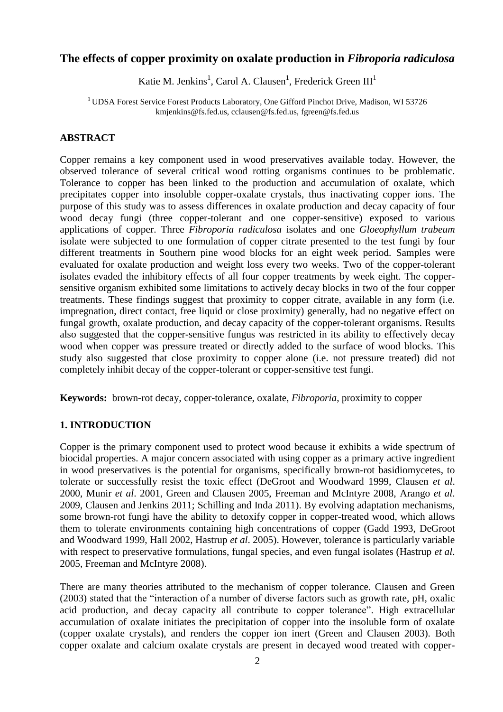## **The effects of copper proximity on oxalate production in** *Fibroporia radiculosa*

Katie M. Jenkins<sup>1</sup>, Carol A. Clausen<sup>1</sup>, Frederick Green III<sup>1</sup>

<sup>1</sup> UDSA Forest Service Forest Products Laboratory, One Gifford Pinchot Drive, Madison, WI 53726 kmjenkins@fs.fed.us, cclausen@fs.fed.us, fgreen@fs.fed.us

## **ABSTRACT**

Copper remains a key component used in wood preservatives available today. However, the observed tolerance of several critical wood rotting organisms continues to be problematic. Tolerance to copper has been linked to the production and accumulation of oxalate, which precipitates copper into insoluble copper-oxalate crystals, thus inactivating copper ions. The purpose of this study was to assess differences in oxalate production and decay capacity of four wood decay fungi (three copper-tolerant and one copper-sensitive) exposed to various applications of copper. Three *Fibroporia radiculosa* isolates and one *Gloeophyllum trabeum* isolate were subjected to one formulation of copper citrate presented to the test fungi by four different treatments in Southern pine wood blocks for an eight week period. Samples were evaluated for oxalate production and weight loss every two weeks. Two of the copper-tolerant isolates evaded the inhibitory effects of all four copper treatments by week eight. The coppersensitive organism exhibited some limitations to actively decay blocks in two of the four copper treatments. These findings suggest that proximity to copper citrate, available in any form (i.e. impregnation, direct contact, free liquid or close proximity) generally, had no negative effect on fungal growth, oxalate production, and decay capacity of the copper-tolerant organisms. Results also suggested that the copper-sensitive fungus was restricted in its ability to effectively decay wood when copper was pressure treated or directly added to the surface of wood blocks. This study also suggested that close proximity to copper alone (i.e. not pressure treated) did not completely inhibit decay of the copper-tolerant or copper-sensitive test fungi.

**Keywords:** brown-rot decay, copper-tolerance, oxalate, *Fibroporia*, proximity to copper

### **1. INTRODUCTION**

Copper is the primary component used to protect wood because it exhibits a wide spectrum of biocidal properties. A major concern associated with using copper as a primary active ingredient in wood preservatives is the potential for organisms, specifically brown-rot basidiomycetes, to tolerate or successfully resist the toxic effect (DeGroot and Woodward 1999, Clausen *et al*. 2000, Munir *et al*. 2001, Green and Clausen 2005, Freeman and McIntyre 2008, Arango *et al*. 2009, Clausen and Jenkins 2011; Schilling and Inda 2011). By evolving adaptation mechanisms, some brown-rot fungi have the ability to detoxify copper in copper-treated wood, which allows them to tolerate environments containing high concentrations of copper (Gadd 1993, DeGroot and Woodward 1999, Hall 2002, Hastrup *et al*. 2005). However, tolerance is particularly variable with respect to preservative formulations, fungal species, and even fungal isolates (Hastrup *et al*. 2005, Freeman and McIntyre 2008).

There are many theories attributed to the mechanism of copper tolerance. Clausen and Green (2003) stated that the "interaction of a number of diverse factors such as growth rate, pH, oxalic acid production, and decay capacity all contribute to copper tolerance". High extracellular accumulation of oxalate initiates the precipitation of copper into the insoluble form of oxalate (copper oxalate crystals), and renders the copper ion inert (Green and Clausen 2003). Both copper oxalate and calcium oxalate crystals are present in decayed wood treated with copper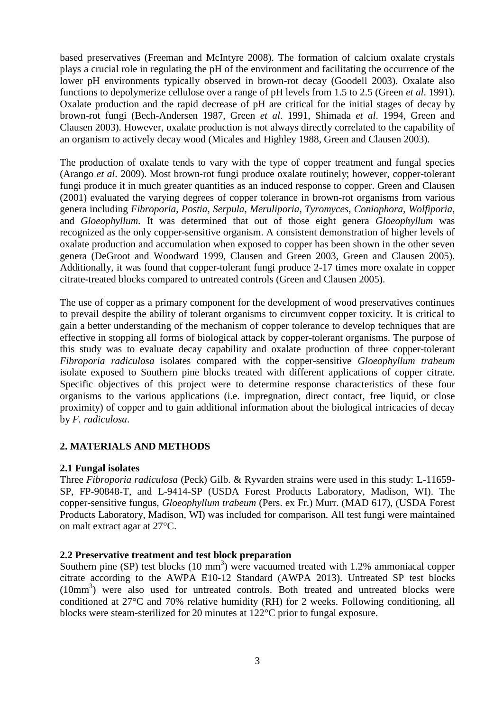based preservatives (Freeman and McIntyre 2008). The formation of calcium oxalate crystals plays a crucial role in regulating the pH of the environment and facilitating the occurrence of the lower pH environments typically observed in brown-rot decay (Goodell 2003). Oxalate also functions to depolymerize cellulose over a range of pH levels from 1.5 to 2.5 (Green *et al*. 1991). Oxalate production and the rapid decrease of pH are critical for the initial stages of decay by brown-rot fungi (Bech-Andersen 1987, Green *et al*. 1991, Shimada *et al*. 1994, Green and Clausen 2003). However, oxalate production is not always directly correlated to the capability of an organism to actively decay wood (Micales and Highley 1988, Green and Clausen 2003).

The production of oxalate tends to vary with the type of copper treatment and fungal species (Arango *et al*. 2009). Most brown-rot fungi produce oxalate routinely; however, copper-tolerant fungi produce it in much greater quantities as an induced response to copper. Green and Clausen (2001) evaluated the varying degrees of copper tolerance in brown-rot organisms from various genera including *Fibroporia*, *Postia*, *Serpula*, *Meruliporia*, *Tyromyces*, *Coniophora, Wolfiporia*, and *Gloeophyllum*. It was determined that out of those eight genera *Gloeophyllum* was recognized as the only copper-sensitive organism. A consistent demonstration of higher levels of oxalate production and accumulation when exposed to copper has been shown in the other seven genera (DeGroot and Woodward 1999, Clausen and Green 2003, Green and Clausen 2005). Additionally, it was found that copper-tolerant fungi produce 2-17 times more oxalate in copper citrate-treated blocks compared to untreated controls (Green and Clausen 2005).

The use of copper as a primary component for the development of wood preservatives continues to prevail despite the ability of tolerant organisms to circumvent copper toxicity. It is critical to gain a better understanding of the mechanism of copper tolerance to develop techniques that are effective in stopping all forms of biological attack by copper-tolerant organisms. The purpose of this study was to evaluate decay capability and oxalate production of three copper-tolerant *Fibroporia radiculosa* isolates compared with the copper-sensitive *Gloeophyllum trabeum* isolate exposed to Southern pine blocks treated with different applications of copper citrate. Specific objectives of this project were to determine response characteristics of these four organisms to the various applications (i.e. impregnation, direct contact, free liquid, or close proximity) of copper and to gain additional information about the biological intricacies of decay by *F. radiculosa*.

## **2. MATERIALS AND METHODS**

### **2.1 Fungal isolates**

Three *Fibroporia radiculosa* (Peck) Gilb. & Ryvarden strains were used in this study: L-11659- SP, FP-90848-T, and L-9414-SP (USDA Forest Products Laboratory, Madison, WI). The copper-sensitive fungus, *Gloeophyllum trabeum* (Pers. ex Fr.) Murr. (MAD 617), (USDA Forest Products Laboratory, Madison, WI) was included for comparison. All test fungi were maintained on malt extract agar at 27°C.

### **2.2 Preservative treatment and test block preparation**

Southern pine (SP) test blocks  $(10 \text{ mm}^3)$  were vacuumed treated with 1.2% ammoniacal copper citrate according to the AWPA E10-12 Standard (AWPA 2013). Untreated SP test blocks (10mm<sup>3</sup>) were also used for untreated controls. Both treated and untreated blocks were conditioned at 27°C and 70% relative humidity (RH) for 2 weeks. Following conditioning, all blocks were steam-sterilized for 20 minutes at 122°C prior to fungal exposure.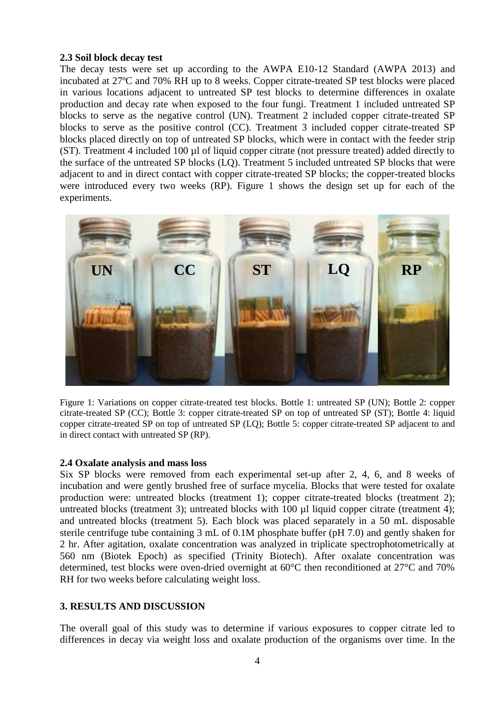### **2.3 Soil block decay test**

The decay tests were set up according to the AWPA E10-12 Standard (AWPA 2013) and incubated at 27ºC and 70% RH up to 8 weeks. Copper citrate-treated SP test blocks were placed in various locations adjacent to untreated SP test blocks to determine differences in oxalate production and decay rate when exposed to the four fungi. Treatment 1 included untreated SP blocks to serve as the negative control (UN). Treatment 2 included copper citrate-treated SP blocks to serve as the positive control (CC). Treatment 3 included copper citrate-treated SP blocks placed directly on top of untreated SP blocks, which were in contact with the feeder strip (ST). Treatment 4 included 100 µl of liquid copper citrate (not pressure treated) added directly to the surface of the untreated SP blocks (LQ). Treatment 5 included untreated SP blocks that were adjacent to and in direct contact with copper citrate-treated SP blocks; the copper-treated blocks were introduced every two weeks (RP). Figure 1 shows the design set up for each of the experiments.



Figure 1: Variations on copper citrate-treated test blocks. Bottle 1: untreated SP (UN); Bottle 2: copper citrate-treated SP (CC); Bottle 3: copper citrate-treated SP on top of untreated SP (ST); Bottle 4: liquid copper citrate-treated SP on top of untreated SP (LQ); Bottle 5: copper citrate-treated SP adjacent to and in direct contact with untreated SP (RP).

### **2.4 Oxalate analysis and mass loss**

Six SP blocks were removed from each experimental set-up after 2, 4, 6, and 8 weeks of incubation and were gently brushed free of surface mycelia. Blocks that were tested for oxalate production were: untreated blocks (treatment 1); copper citrate-treated blocks (treatment 2); untreated blocks (treatment 3); untreated blocks with 100 µl liquid copper citrate (treatment 4); and untreated blocks (treatment 5). Each block was placed separately in a 50 mL disposable sterile centrifuge tube containing 3 mL of 0.1M phosphate buffer (pH 7.0) and gently shaken for 2 hr. After agitation, oxalate concentration was analyzed in triplicate spectrophotometrically at 560 nm (Biotek Epoch) as specified (Trinity Biotech). After oxalate concentration was determined, test blocks were oven-dried overnight at 60°C then reconditioned at 27°C and 70% RH for two weeks before calculating weight loss.

## **3. RESULTS AND DISCUSSION**

The overall goal of this study was to determine if various exposures to copper citrate led to differences in decay via weight loss and oxalate production of the organisms over time. In the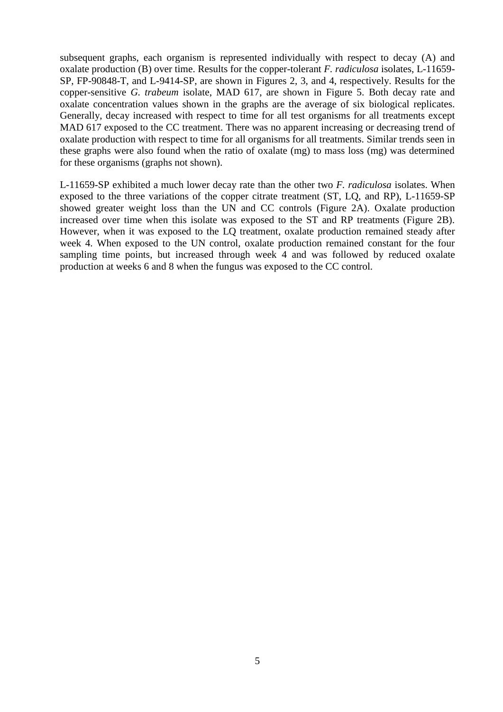subsequent graphs, each organism is represented individually with respect to decay (A) and oxalate production (B) over time. Results for the copper-tolerant *F. radiculosa* isolates, L-11659- SP, FP-90848-T, and L-9414-SP, are shown in Figures 2, 3, and 4, respectively. Results for the copper-sensitive *G. trabeum* isolate, MAD 617, are shown in Figure 5. Both decay rate and oxalate concentration values shown in the graphs are the average of six biological replicates. Generally, decay increased with respect to time for all test organisms for all treatments except MAD 617 exposed to the CC treatment. There was no apparent increasing or decreasing trend of oxalate production with respect to time for all organisms for all treatments. Similar trends seen in these graphs were also found when the ratio of oxalate (mg) to mass loss (mg) was determined for these organisms (graphs not shown).

L-11659-SP exhibited a much lower decay rate than the other two *F. radiculosa* isolates. When exposed to the three variations of the copper citrate treatment (ST, LQ, and RP), L-11659-SP showed greater weight loss than the UN and CC controls (Figure 2A). Oxalate production increased over time when this isolate was exposed to the ST and RP treatments (Figure 2B). However, when it was exposed to the LQ treatment, oxalate production remained steady after week 4. When exposed to the UN control, oxalate production remained constant for the four sampling time points, but increased through week 4 and was followed by reduced oxalate production at weeks 6 and 8 when the fungus was exposed to the CC control.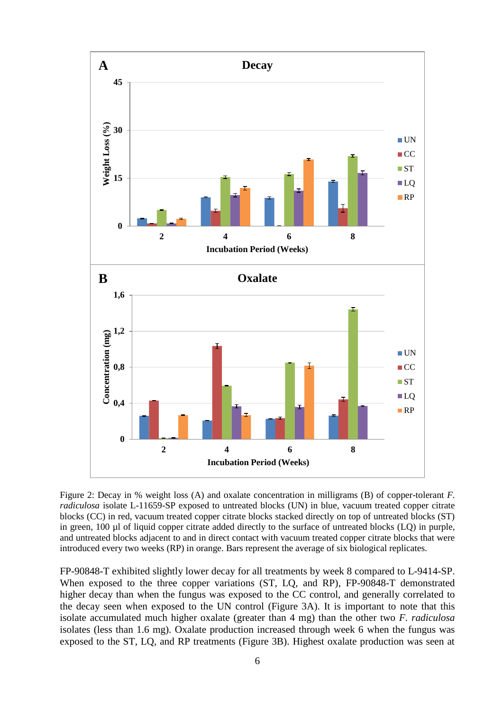

Figure 2: Decay in % weight loss (A) and oxalate concentration in milligrams (B) of copper-tolerant *F. radiculosa* isolate L-11659-SP exposed to untreated blocks (UN) in blue, vacuum treated copper citrate blocks (CC) in red, vacuum treated copper citrate blocks stacked directly on top of untreated blocks (ST) in green, 100 µl of liquid copper citrate added directly to the surface of untreated blocks (LQ) in purple, and untreated blocks adjacent to and in direct contact with vacuum treated copper citrate blocks that were introduced every two weeks (RP) in orange. Bars represent the average of six biological replicates.

FP-90848-T exhibited slightly lower decay for all treatments by week 8 compared to L-9414-SP. When exposed to the three copper variations (ST, LQ, and RP), FP-90848-T demonstrated higher decay than when the fungus was exposed to the CC control, and generally correlated to the decay seen when exposed to the UN control (Figure 3A). It is important to note that this isolate accumulated much higher oxalate (greater than 4 mg) than the other two *F. radiculosa* isolates (less than 1.6 mg). Oxalate production increased through week 6 when the fungus was exposed to the ST, LQ, and RP treatments (Figure 3B). Highest oxalate production was seen at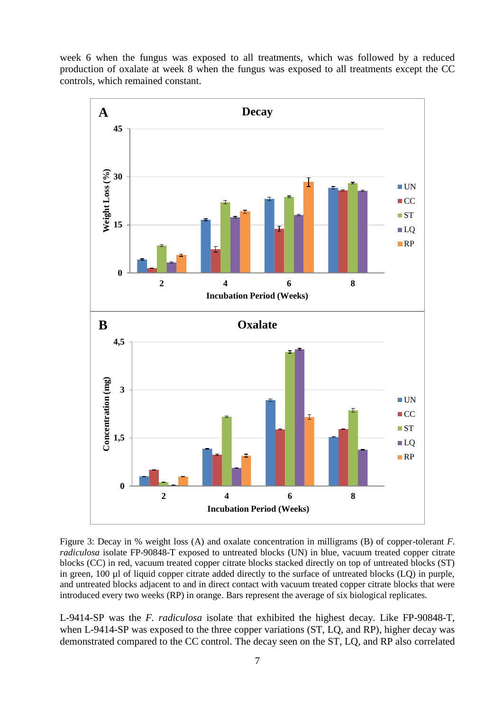week 6 when the fungus was exposed to all treatments, which was followed by a reduced production of oxalate at week 8 when the fungus was exposed to all treatments except the CC controls, which remained constant.



Figure 3: Decay in % weight loss (A) and oxalate concentration in milligrams (B) of copper-tolerant *F. radiculosa* isolate FP-90848-T exposed to untreated blocks (UN) in blue, vacuum treated copper citrate blocks (CC) in red, vacuum treated copper citrate blocks stacked directly on top of untreated blocks (ST) in green, 100 µl of liquid copper citrate added directly to the surface of untreated blocks (LQ) in purple, and untreated blocks adjacent to and in direct contact with vacuum treated copper citrate blocks that were introduced every two weeks (RP) in orange. Bars represent the average of six biological replicates.

L-9414-SP was the *F. radiculosa* isolate that exhibited the highest decay. Like FP-90848-T, when L-9414-SP was exposed to the three copper variations (ST, LQ, and RP), higher decay was demonstrated compared to the CC control. The decay seen on the ST, LQ, and RP also correlated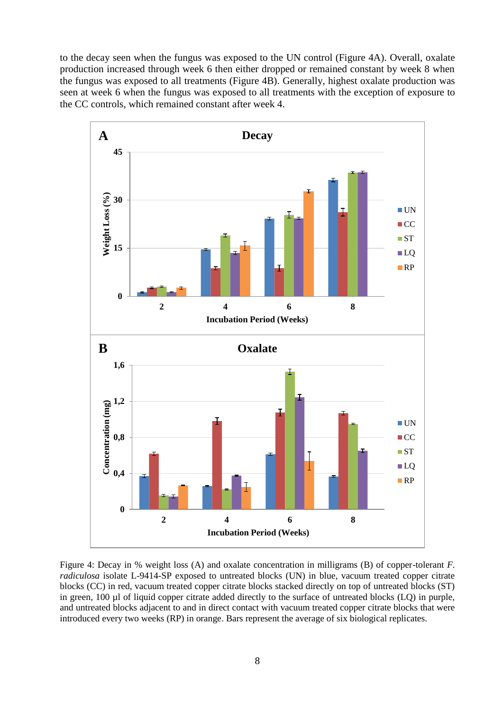to the decay seen when the fungus was exposed to the UN control (Figure 4A). Overall, oxalate production increased through week 6 then either dropped or remained constant by week 8 when the fungus was exposed to all treatments (Figure 4B). Generally, highest oxalate production was seen at week 6 when the fungus was exposed to all treatments with the exception of exposure to the CC controls, which remained constant after week 4.



Figure 4: Decay in % weight loss (A) and oxalate concentration in milligrams (B) of copper-tolerant *F. radiculosa* isolate L-9414-SP exposed to untreated blocks (UN) in blue, vacuum treated copper citrate blocks (CC) in red, vacuum treated copper citrate blocks stacked directly on top of untreated blocks (ST) in green, 100 µl of liquid copper citrate added directly to the surface of untreated blocks (LQ) in purple, and untreated blocks adjacent to and in direct contact with vacuum treated copper citrate blocks that were introduced every two weeks (RP) in orange. Bars represent the average of six biological replicates.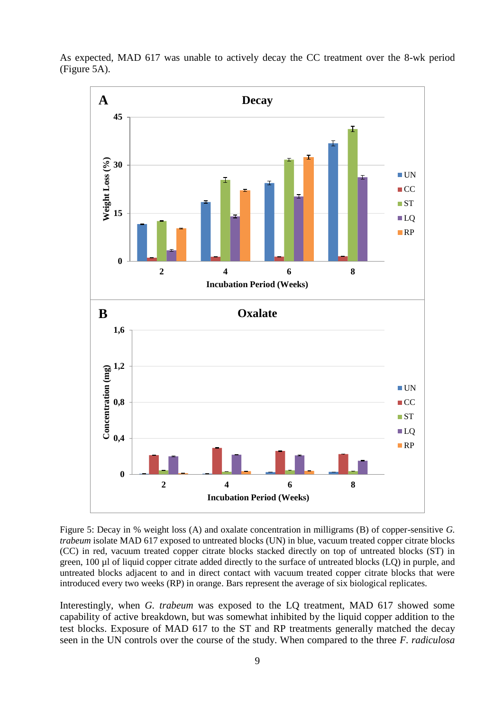

As expected, MAD 617 was unable to actively decay the CC treatment over the 8-wk period (Figure 5A).

Figure 5: Decay in % weight loss (A) and oxalate concentration in milligrams (B) of copper-sensitive *G. trabeum* isolate MAD 617 exposed to untreated blocks (UN) in blue, vacuum treated copper citrate blocks (CC) in red, vacuum treated copper citrate blocks stacked directly on top of untreated blocks (ST) in green, 100 µl of liquid copper citrate added directly to the surface of untreated blocks (LQ) in purple, and untreated blocks adjacent to and in direct contact with vacuum treated copper citrate blocks that were introduced every two weeks (RP) in orange. Bars represent the average of six biological replicates.

Interestingly, when *G. trabeum* was exposed to the LQ treatment, MAD 617 showed some capability of active breakdown, but was somewhat inhibited by the liquid copper addition to the test blocks. Exposure of MAD 617 to the ST and RP treatments generally matched the decay seen in the UN controls over the course of the study. When compared to the three *F. radiculosa*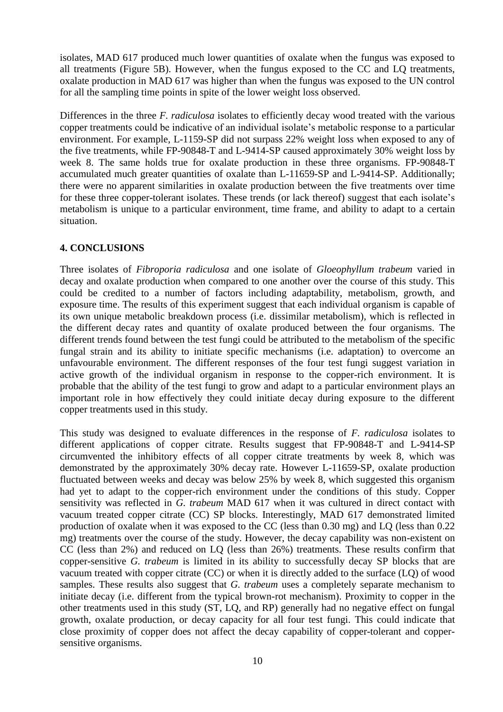isolates, MAD 617 produced much lower quantities of oxalate when the fungus was exposed to all treatments (Figure 5B). However, when the fungus exposed to the CC and LQ treatments, oxalate production in MAD 617 was higher than when the fungus was exposed to the UN control for all the sampling time points in spite of the lower weight loss observed.

Differences in the three *F. radiculosa* isolates to efficiently decay wood treated with the various copper treatments could be indicative of an individual isolate's metabolic response to a particular environment. For example, L-1159-SP did not surpass 22% weight loss when exposed to any of the five treatments, while FP-90848-T and L-9414-SP caused approximately 30% weight loss by week 8. The same holds true for oxalate production in these three organisms. FP-90848-T accumulated much greater quantities of oxalate than L-11659-SP and L-9414-SP. Additionally; there were no apparent similarities in oxalate production between the five treatments over time for these three copper-tolerant isolates. These trends (or lack thereof) suggest that each isolate's metabolism is unique to a particular environment, time frame, and ability to adapt to a certain situation.

## **4. CONCLUSIONS**

Three isolates of *Fibroporia radiculosa* and one isolate of *Gloeophyllum trabeum* varied in decay and oxalate production when compared to one another over the course of this study. This could be credited to a number of factors including adaptability, metabolism, growth, and exposure time. The results of this experiment suggest that each individual organism is capable of its own unique metabolic breakdown process (i.e. dissimilar metabolism), which is reflected in the different decay rates and quantity of oxalate produced between the four organisms. The different trends found between the test fungi could be attributed to the metabolism of the specific fungal strain and its ability to initiate specific mechanisms (i.e. adaptation) to overcome an unfavourable environment. The different responses of the four test fungi suggest variation in active growth of the individual organism in response to the copper-rich environment. It is probable that the ability of the test fungi to grow and adapt to a particular environment plays an important role in how effectively they could initiate decay during exposure to the different copper treatments used in this study.

This study was designed to evaluate differences in the response of *F. radiculosa* isolates to different applications of copper citrate. Results suggest that FP-90848-T and L-9414-SP circumvented the inhibitory effects of all copper citrate treatments by week 8, which was demonstrated by the approximately 30% decay rate. However L-11659-SP, oxalate production fluctuated between weeks and decay was below 25% by week 8, which suggested this organism had yet to adapt to the copper-rich environment under the conditions of this study. Copper sensitivity was reflected in *G. trabeum* MAD 617 when it was cultured in direct contact with vacuum treated copper citrate (CC) SP blocks. Interestingly, MAD 617 demonstrated limited production of oxalate when it was exposed to the CC (less than 0.30 mg) and LQ (less than 0.22 mg) treatments over the course of the study. However, the decay capability was non-existent on CC (less than 2%) and reduced on LQ (less than 26%) treatments. These results confirm that copper-sensitive *G. trabeum* is limited in its ability to successfully decay SP blocks that are vacuum treated with copper citrate (CC) or when it is directly added to the surface (LQ) of wood samples. These results also suggest that *G. trabeum* uses a completely separate mechanism to initiate decay (i.e. different from the typical brown-rot mechanism). Proximity to copper in the other treatments used in this study (ST, LQ, and RP) generally had no negative effect on fungal growth, oxalate production, or decay capacity for all four test fungi. This could indicate that close proximity of copper does not affect the decay capability of copper-tolerant and coppersensitive organisms.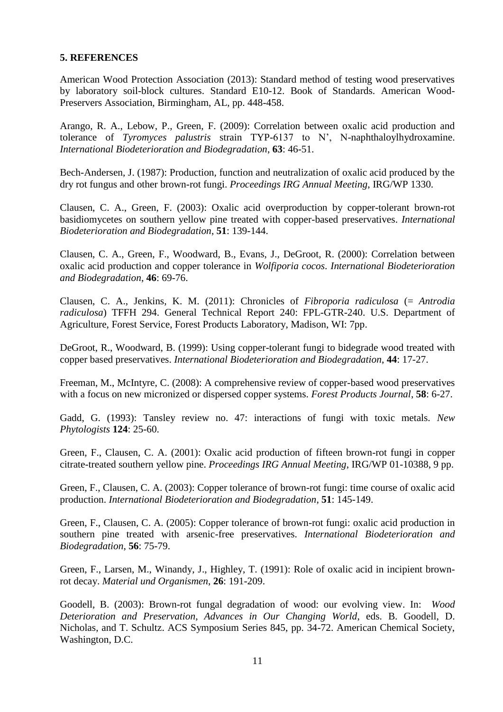## **5. REFERENCES**

American Wood Protection Association (2013): Standard method of testing wood preservatives by laboratory soil-block cultures. Standard E10-12. Book of Standards. American Wood-Preservers Association, Birmingham, AL, pp. 448-458.

Arango, R. A., Lebow, P., Green, F. (2009): Correlation between oxalic acid production and tolerance of *Tyromyces palustris* strain TYP-6137 to N', N-naphthaloylhydroxamine. *International Biodeterioration and Biodegradation*, **63**: 46-51.

Bech-Andersen, J. (1987): Production, function and neutralization of oxalic acid produced by the dry rot fungus and other brown-rot fungi. *Proceedings IRG Annual Meeting*, IRG/WP 1330.

Clausen, C. A., Green, F. (2003): Oxalic acid overproduction by copper-tolerant brown-rot basidiomycetes on southern yellow pine treated with copper-based preservatives. *International Biodeterioration and Biodegradation*, **51**: 139-144.

Clausen, C. A., Green, F., Woodward, B., Evans, J., DeGroot, R. (2000): Correlation between oxalic acid production and copper tolerance in *Wolfiporia cocos*. *International Biodeterioration and Biodegradation*, **46**: 69-76.

Clausen, C. A., Jenkins, K. M. (2011): Chronicles of *Fibroporia radiculosa* (= *Antrodia radiculosa*) TFFH 294. General Technical Report 240: FPL-GTR-240. U.S. Department of Agriculture, Forest Service, Forest Products Laboratory, Madison, WI: 7pp.

DeGroot, R., Woodward, B. (1999): Using copper-tolerant fungi to bidegrade wood treated with copper based preservatives. *International Biodeterioration and Biodegradation*, **44**: 17-27.

Freeman, M., McIntyre, C. (2008): A comprehensive review of copper-based wood preservatives with a focus on new micronized or dispersed copper systems. *Forest Products Journal*, **58**: 6-27.

Gadd, G. (1993): Tansley review no. 47: interactions of fungi with toxic metals. *New Phytologists* **124**: 25-60.

Green, F., Clausen, C. A. (2001): Oxalic acid production of fifteen brown-rot fungi in copper citrate-treated southern yellow pine. *Proceedings IRG Annual Meeting*, IRG/WP 01-10388, 9 pp.

Green, F., Clausen, C. A. (2003): Copper tolerance of brown-rot fungi: time course of oxalic acid production. *International Biodeterioration and Biodegradation*, **51**: 145-149.

Green, F., Clausen, C. A. (2005): Copper tolerance of brown-rot fungi: oxalic acid production in southern pine treated with arsenic-free preservatives. *International Biodeterioration and Biodegradation*, **56**: 75-79.

Green, F., Larsen, M., Winandy, J., Highley, T. (1991): Role of oxalic acid in incipient brownrot decay. *Material und Organismen*, **26**: 191-209.

Goodell, B. (2003): Brown-rot fungal degradation of wood: our evolving view. In: *Wood Deterioration and Preservation, Advances in Our Changing World*, eds. B. Goodell, D. Nicholas, and T. Schultz. ACS Symposium Series 845, pp. 34-72. American Chemical Society, Washington, D.C.